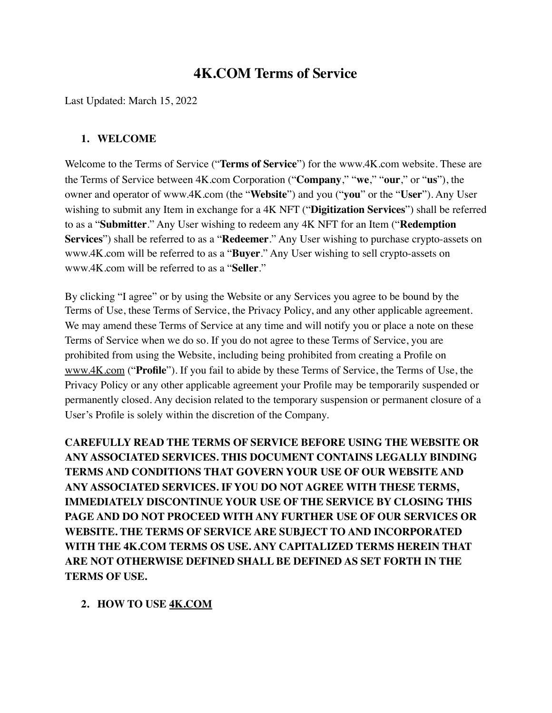# **4K.COM Terms of Service**

Last Updated: March 15, 2022

#### **1. WELCOME**

Welcome to the Terms of Service ("**Terms of Service**") for the www.4K.com website. These are the Terms of Service between 4K.com Corporation ("**Company**," "**we**," "**our**," or "**us**"), the owner and operator of www.4K.com (the "**Website**") and you ("**you**" or the "**User**"). Any User wishing to submit any Item in exchange for a 4K NFT ("**Digitization Services**") shall be referred to as a "**Submitter**." Any User wishing to redeem any 4K NFT for an Item ("**Redemption Services**") shall be referred to as a "**Redeemer**." Any User wishing to purchase crypto-assets on www.4K.com will be referred to as a "**Buyer**." Any User wishing to sell crypto-assets on www.4K.com will be referred to as a "**Seller**."

By clicking "I agree" or by using the Website or any Services you agree to be bound by the Terms of Use, these Terms of Service, the Privacy Policy, and any other applicable agreement. We may amend these Terms of Service at any time and will notify you or place a note on these Terms of Service when we do so. If you do not agree to these Terms of Service, you are prohibited from using the Website, including being prohibited from creating a Profile on [www.4K.com](http://www.4K.com) ("**Profile**"). If you fail to abide by these Terms of Service, the Terms of Use, the Privacy Policy or any other applicable agreement your Profile may be temporarily suspended or permanently closed. Any decision related to the temporary suspension or permanent closure of a User's Profile is solely within the discretion of the Company.

**CAREFULLY READ THE TERMS OF SERVICE BEFORE USING THE WEBSITE OR ANY ASSOCIATED SERVICES. THIS DOCUMENT CONTAINS LEGALLY BINDING TERMS AND CONDITIONS THAT GOVERN YOUR USE OF OUR WEBSITE AND ANY ASSOCIATED SERVICES. IF YOU DO NOT AGREE WITH THESE TERMS, IMMEDIATELY DISCONTINUE YOUR USE OF THE SERVICE BY CLOSING THIS PAGE AND DO NOT PROCEED WITH ANY FURTHER USE OF OUR SERVICES OR WEBSITE. THE TERMS OF SERVICE ARE SUBJECT TO AND INCORPORATED WITH THE 4K.COM TERMS OS USE. ANY CAPITALIZED TERMS HEREIN THAT ARE NOT OTHERWISE DEFINED SHALL BE DEFINED AS SET FORTH IN THE TERMS OF USE.**

#### **2. HOW TO USE [4K.COM](http://4k.com/)**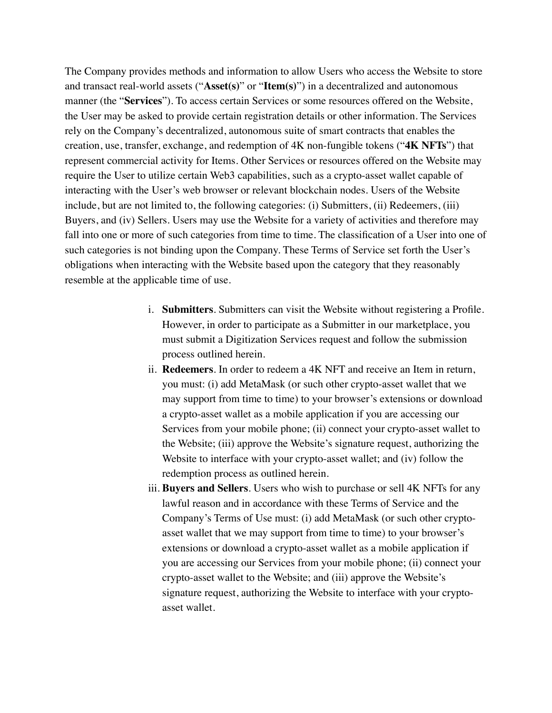The Company provides methods and information to allow Users who access the Website to store and transact real-world assets ("**Asset(s)**" or "**Item(s)**") in a decentralized and autonomous manner (the "**Services**"). To access certain Services or some resources offered on the Website, the User may be asked to provide certain registration details or other information. The Services rely on the Company's decentralized, autonomous suite of smart contracts that enables the creation, use, transfer, exchange, and redemption of 4K non-fungible tokens ("**4K NFTs**") that represent commercial activity for Items. Other Services or resources offered on the Website may require the User to utilize certain Web3 capabilities, such as a crypto-asset wallet capable of interacting with the User's web browser or relevant blockchain nodes. Users of the Website include, but are not limited to, the following categories: (i) Submitters, (ii) Redeemers, (iii) Buyers, and (iv) Sellers. Users may use the Website for a variety of activities and therefore may fall into one or more of such categories from time to time. The classification of a User into one of such categories is not binding upon the Company. These Terms of Service set forth the User's obligations when interacting with the Website based upon the category that they reasonably resemble at the applicable time of use.

- i. **Submitters**. Submitters can visit the Website without registering a Profile. However, in order to participate as a Submitter in our marketplace, you must submit a Digitization Services request and follow the submission process outlined herein.
- ii. **Redeemers**. In order to redeem a 4K NFT and receive an Item in return, you must: (i) add MetaMask (or such other crypto-asset wallet that we may support from time to time) to your browser's extensions or download a crypto-asset wallet as a mobile application if you are accessing our Services from your mobile phone; (ii) connect your crypto-asset wallet to the Website; (iii) approve the Website's signature request, authorizing the Website to interface with your crypto-asset wallet; and (iv) follow the redemption process as outlined herein.
- iii. **Buyers and Sellers**. Users who wish to purchase or sell 4K NFTs for any lawful reason and in accordance with these Terms of Service and the Company's Terms of Use must: (i) add MetaMask (or such other cryptoasset wallet that we may support from time to time) to your browser's extensions or download a crypto-asset wallet as a mobile application if you are accessing our Services from your mobile phone; (ii) connect your crypto-asset wallet to the Website; and (iii) approve the Website's signature request, authorizing the Website to interface with your cryptoasset wallet.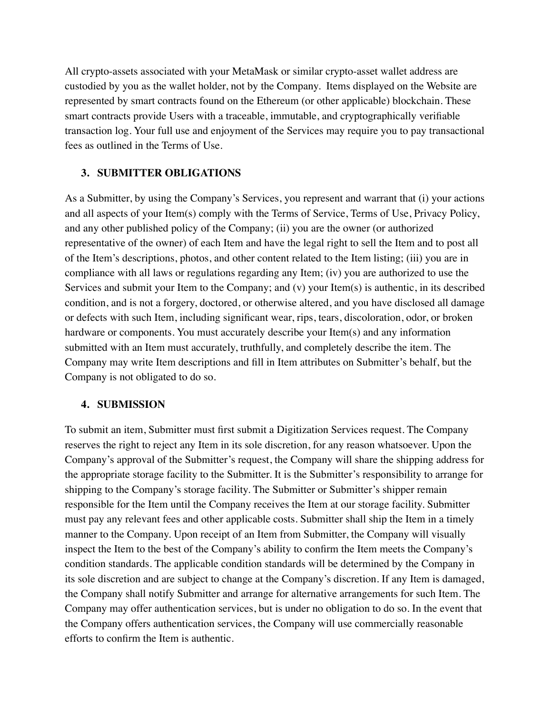All crypto-assets associated with your MetaMask or similar crypto-asset wallet address are custodied by you as the wallet holder, not by the Company. Items displayed on the Website are represented by smart contracts found on the Ethereum (or other applicable) blockchain. These smart contracts provide Users with a traceable, immutable, and cryptographically verifiable transaction log. Your full use and enjoyment of the Services may require you to pay transactional fees as outlined in the Terms of Use.

#### **3. SUBMITTER OBLIGATIONS**

As a Submitter, by using the Company's Services, you represent and warrant that (i) your actions and all aspects of your Item(s) comply with the Terms of Service, Terms of Use, Privacy Policy, and any other published policy of the Company; (ii) you are the owner (or authorized representative of the owner) of each Item and have the legal right to sell the Item and to post all of the Item's descriptions, photos, and other content related to the Item listing; (iii) you are in compliance with all laws or regulations regarding any Item; (iv) you are authorized to use the Services and submit your Item to the Company; and (v) your Item(s) is authentic, in its described condition, and is not a forgery, doctored, or otherwise altered, and you have disclosed all damage or defects with such Item, including significant wear, rips, tears, discoloration, odor, or broken hardware or components. You must accurately describe your Item(s) and any information submitted with an Item must accurately, truthfully, and completely describe the item. The Company may write Item descriptions and fill in Item attributes on Submitter's behalf, but the Company is not obligated to do so.

#### **4. SUBMISSION**

To submit an item, Submitter must first submit a Digitization Services request. The Company reserves the right to reject any Item in its sole discretion, for any reason whatsoever. Upon the Company's approval of the Submitter's request, the Company will share the shipping address for the appropriate storage facility to the Submitter. It is the Submitter's responsibility to arrange for shipping to the Company's storage facility. The Submitter or Submitter's shipper remain responsible for the Item until the Company receives the Item at our storage facility. Submitter must pay any relevant fees and other applicable costs. Submitter shall ship the Item in a timely manner to the Company. Upon receipt of an Item from Submitter, the Company will visually inspect the Item to the best of the Company's ability to confirm the Item meets the Company's condition standards. The applicable condition standards will be determined by the Company in its sole discretion and are subject to change at the Company's discretion. If any Item is damaged, the Company shall notify Submitter and arrange for alternative arrangements for such Item. The Company may offer authentication services, but is under no obligation to do so. In the event that the Company offers authentication services, the Company will use commercially reasonable efforts to confirm the Item is authentic.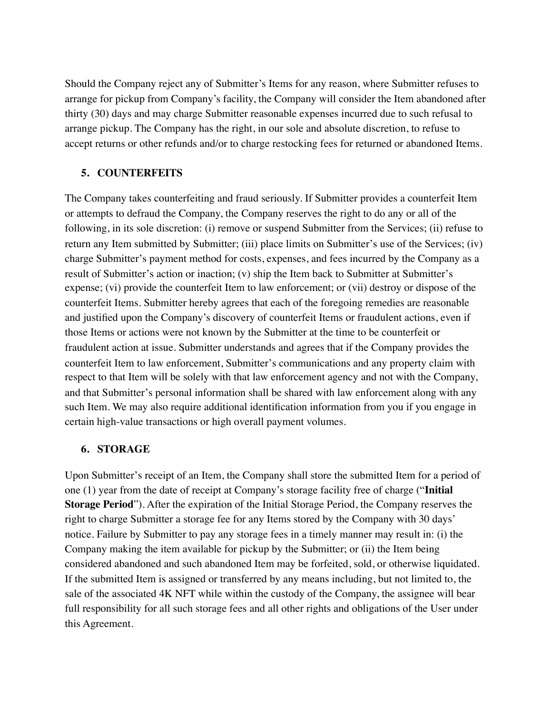Should the Company reject any of Submitter's Items for any reason, where Submitter refuses to arrange for pickup from Company's facility, the Company will consider the Item abandoned after thirty (30) days and may charge Submitter reasonable expenses incurred due to such refusal to arrange pickup. The Company has the right, in our sole and absolute discretion, to refuse to accept returns or other refunds and/or to charge restocking fees for returned or abandoned Items.

### **5. COUNTERFEITS**

The Company takes counterfeiting and fraud seriously. If Submitter provides a counterfeit Item or attempts to defraud the Company, the Company reserves the right to do any or all of the following, in its sole discretion: (i) remove or suspend Submitter from the Services; (ii) refuse to return any Item submitted by Submitter; (iii) place limits on Submitter's use of the Services; (iv) charge Submitter's payment method for costs, expenses, and fees incurred by the Company as a result of Submitter's action or inaction; (v) ship the Item back to Submitter at Submitter's expense; (vi) provide the counterfeit Item to law enforcement; or (vii) destroy or dispose of the counterfeit Items. Submitter hereby agrees that each of the foregoing remedies are reasonable and justified upon the Company's discovery of counterfeit Items or fraudulent actions, even if those Items or actions were not known by the Submitter at the time to be counterfeit or fraudulent action at issue. Submitter understands and agrees that if the Company provides the counterfeit Item to law enforcement, Submitter's communications and any property claim with respect to that Item will be solely with that law enforcement agency and not with the Company, and that Submitter's personal information shall be shared with law enforcement along with any such Item. We may also require additional identification information from you if you engage in certain high-value transactions or high overall payment volumes.

#### **6. STORAGE**

Upon Submitter's receipt of an Item, the Company shall store the submitted Item for a period of one (1) year from the date of receipt at Company's storage facility free of charge ("**Initial Storage Period**"). After the expiration of the Initial Storage Period, the Company reserves the right to charge Submitter a storage fee for any Items stored by the Company with 30 days' notice. Failure by Submitter to pay any storage fees in a timely manner may result in: (i) the Company making the item available for pickup by the Submitter; or (ii) the Item being considered abandoned and such abandoned Item may be forfeited, sold, or otherwise liquidated. If the submitted Item is assigned or transferred by any means including, but not limited to, the sale of the associated 4K NFT while within the custody of the Company, the assignee will bear full responsibility for all such storage fees and all other rights and obligations of the User under this Agreement.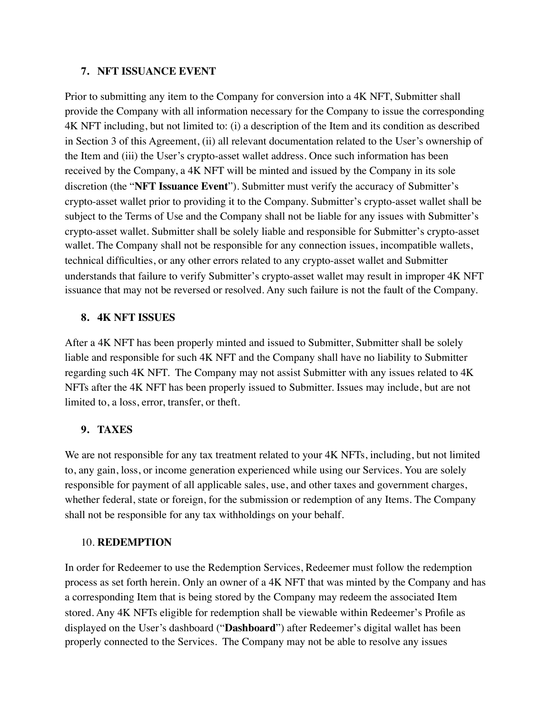### **7. NFT ISSUANCE EVENT**

Prior to submitting any item to the Company for conversion into a 4K NFT, Submitter shall provide the Company with all information necessary for the Company to issue the corresponding 4K NFT including, but not limited to: (i) a description of the Item and its condition as described in Section 3 of this Agreement, (ii) all relevant documentation related to the User's ownership of the Item and (iii) the User's crypto-asset wallet address. Once such information has been received by the Company, a 4K NFT will be minted and issued by the Company in its sole discretion (the "**NFT Issuance Event**"). Submitter must verify the accuracy of Submitter's crypto-asset wallet prior to providing it to the Company. Submitter's crypto-asset wallet shall be subject to the Terms of Use and the Company shall not be liable for any issues with Submitter's crypto-asset wallet. Submitter shall be solely liable and responsible for Submitter's crypto-asset wallet. The Company shall not be responsible for any connection issues, incompatible wallets, technical difficulties, or any other errors related to any crypto-asset wallet and Submitter understands that failure to verify Submitter's crypto-asset wallet may result in improper 4K NFT issuance that may not be reversed or resolved. Any such failure is not the fault of the Company.

### **8. 4K NFT ISSUES**

After a 4K NFT has been properly minted and issued to Submitter, Submitter shall be solely liable and responsible for such 4K NFT and the Company shall have no liability to Submitter regarding such 4K NFT. The Company may not assist Submitter with any issues related to 4K NFTs after the 4K NFT has been properly issued to Submitter. Issues may include, but are not limited to, a loss, error, transfer, or theft.

### **9. TAXES**

We are not responsible for any tax treatment related to your 4K NFTs, including, but not limited to, any gain, loss, or income generation experienced while using our Services. You are solely responsible for payment of all applicable sales, use, and other taxes and government charges, whether federal, state or foreign, for the submission or redemption of any Items. The Company shall not be responsible for any tax withholdings on your behalf.

#### 10. **REDEMPTION**

In order for Redeemer to use the Redemption Services, Redeemer must follow the redemption process as set forth herein. Only an owner of a 4K NFT that was minted by the Company and has a corresponding Item that is being stored by the Company may redeem the associated Item stored. Any 4K NFTs eligible for redemption shall be viewable within Redeemer's Profile as displayed on the User's dashboard ("**Dashboard**") after Redeemer's digital wallet has been properly connected to the Services. The Company may not be able to resolve any issues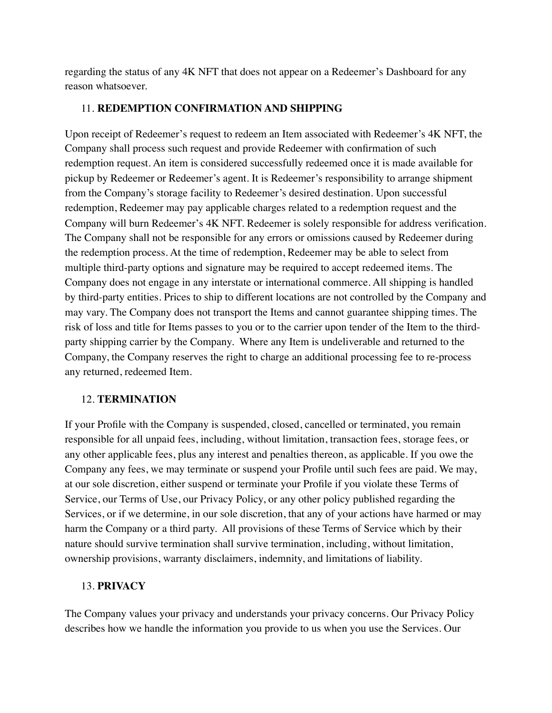regarding the status of any 4K NFT that does not appear on a Redeemer's Dashboard for any reason whatsoever.

#### 11. **REDEMPTION CONFIRMATION AND SHIPPING**

Upon receipt of Redeemer's request to redeem an Item associated with Redeemer's 4K NFT, the Company shall process such request and provide Redeemer with confirmation of such redemption request. An item is considered successfully redeemed once it is made available for pickup by Redeemer or Redeemer's agent. It is Redeemer's responsibility to arrange shipment from the Company's storage facility to Redeemer's desired destination. Upon successful redemption, Redeemer may pay applicable charges related to a redemption request and the Company will burn Redeemer's 4K NFT. Redeemer is solely responsible for address verification. The Company shall not be responsible for any errors or omissions caused by Redeemer during the redemption process. At the time of redemption, Redeemer may be able to select from multiple third-party options and signature may be required to accept redeemed items. The Company does not engage in any interstate or international commerce. All shipping is handled by third-party entities. Prices to ship to different locations are not controlled by the Company and may vary. The Company does not transport the Items and cannot guarantee shipping times. The risk of loss and title for Items passes to you or to the carrier upon tender of the Item to the thirdparty shipping carrier by the Company. Where any Item is undeliverable and returned to the Company, the Company reserves the right to charge an additional processing fee to re-process any returned, redeemed Item.

#### 12. **TERMINATION**

If your Profile with the Company is suspended, closed, cancelled or terminated, you remain responsible for all unpaid fees, including, without limitation, transaction fees, storage fees, or any other applicable fees, plus any interest and penalties thereon, as applicable. If you owe the Company any fees, we may terminate or suspend your Profile until such fees are paid. We may, at our sole discretion, either suspend or terminate your Profile if you violate these Terms of Service, our Terms of Use, our Privacy Policy, or any other policy published regarding the Services, or if we determine, in our sole discretion, that any of your actions have harmed or may harm the Company or a third party. All provisions of these Terms of Service which by their nature should survive termination shall survive termination, including, without limitation, ownership provisions, warranty disclaimers, indemnity, and limitations of liability.

#### 13. **PRIVACY**

The Company values your privacy and understands your privacy concerns. Our Privacy Policy describes how we handle the information you provide to us when you use the Services. Our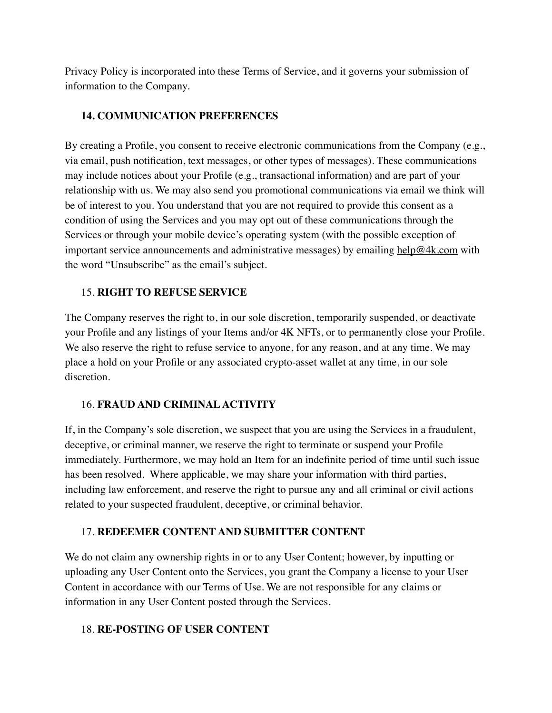Privacy Policy is incorporated into these Terms of Service, and it governs your submission of information to the Company.

### **14. COMMUNICATION PREFERENCES**

By creating a Profile, you consent to receive electronic communications from the Company (e.g., via email, push notification, text messages, or other types of messages). These communications may include notices about your Profile (e.g., transactional information) and are part of your relationship with us. We may also send you promotional communications via email we think will be of interest to you. You understand that you are not required to provide this consent as a condition of using the Services and you may opt out of these communications through the Services or through your mobile device's operating system (with the possible exception of important service announcements and administrative messages) by emailing [help@4k.com](mailto:help@4k.com) with the word "Unsubscribe" as the email's subject.

## 15. **RIGHT TO REFUSE SERVICE**

The Company reserves the right to, in our sole discretion, temporarily suspended, or deactivate your Profile and any listings of your Items and/or 4K NFTs, or to permanently close your Profile. We also reserve the right to refuse service to anyone, for any reason, and at any time. We may place a hold on your Profile or any associated crypto-asset wallet at any time, in our sole discretion.

### 16. **FRAUD AND CRIMINAL ACTIVITY**

If, in the Company's sole discretion, we suspect that you are using the Services in a fraudulent, deceptive, or criminal manner, we reserve the right to terminate or suspend your Profile immediately. Furthermore, we may hold an Item for an indefinite period of time until such issue has been resolved. Where applicable, we may share your information with third parties, including law enforcement, and reserve the right to pursue any and all criminal or civil actions related to your suspected fraudulent, deceptive, or criminal behavior.

### 17. **REDEEMER CONTENT AND SUBMITTER CONTENT**

We do not claim any ownership rights in or to any User Content; however, by inputting or uploading any User Content onto the Services, you grant the Company a license to your User Content in accordance with our Terms of Use. We are not responsible for any claims or information in any User Content posted through the Services.

### 18. **RE-POSTING OF USER CONTENT**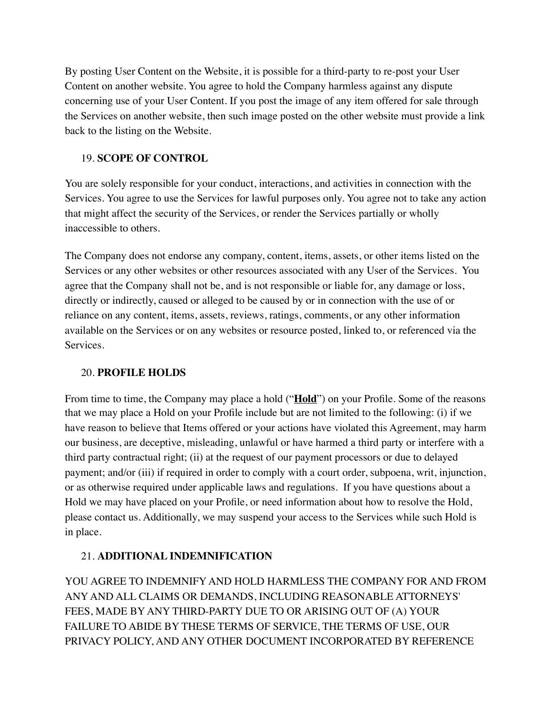By posting User Content on the Website, it is possible for a third-party to re-post your User Content on another website. You agree to hold the Company harmless against any dispute concerning use of your User Content. If you post the image of any item offered for sale through the Services on another website, then such image posted on the other website must provide a link back to the listing on the Website.

# 19. **SCOPE OF CONTROL**

You are solely responsible for your conduct, interactions, and activities in connection with the Services. You agree to use the Services for lawful purposes only. You agree not to take any action that might affect the security of the Services, or render the Services partially or wholly inaccessible to others.

The Company does not endorse any company, content, items, assets, or other items listed on the Services or any other websites or other resources associated with any User of the Services. You agree that the Company shall not be, and is not responsible or liable for, any damage or loss, directly or indirectly, caused or alleged to be caused by or in connection with the use of or reliance on any content, items, assets, reviews, ratings, comments, or any other information available on the Services or on any websites or resource posted, linked to, or referenced via the Services.

### 20. **PROFILE HOLDS**

From time to time, the Company may place a hold ("**Hold**") on your Profile. Some of the reasons that we may place a Hold on your Profile include but are not limited to the following: (i) if we have reason to believe that Items offered or your actions have violated this Agreement, may harm our business, are deceptive, misleading, unlawful or have harmed a third party or interfere with a third party contractual right; (ii) at the request of our payment processors or due to delayed payment; and/or (iii) if required in order to comply with a court order, subpoena, writ, injunction, or as otherwise required under applicable laws and regulations. If you have questions about a Hold we may have placed on your Profile, or need information about how to resolve the Hold, please contact us. Additionally, we may suspend your access to the Services while such Hold is in place.

# 21. **ADDITIONAL INDEMNIFICATION**

YOU AGREE TO INDEMNIFY AND HOLD HARMLESS THE COMPANY FOR AND FROM ANY AND ALL CLAIMS OR DEMANDS, INCLUDING REASONABLE ATTORNEYS' FEES, MADE BY ANY THIRD-PARTY DUE TO OR ARISING OUT OF (A) YOUR FAILURE TO ABIDE BY THESE TERMS OF SERVICE, THE TERMS OF USE, OUR PRIVACY POLICY, AND ANY OTHER DOCUMENT INCORPORATED BY REFERENCE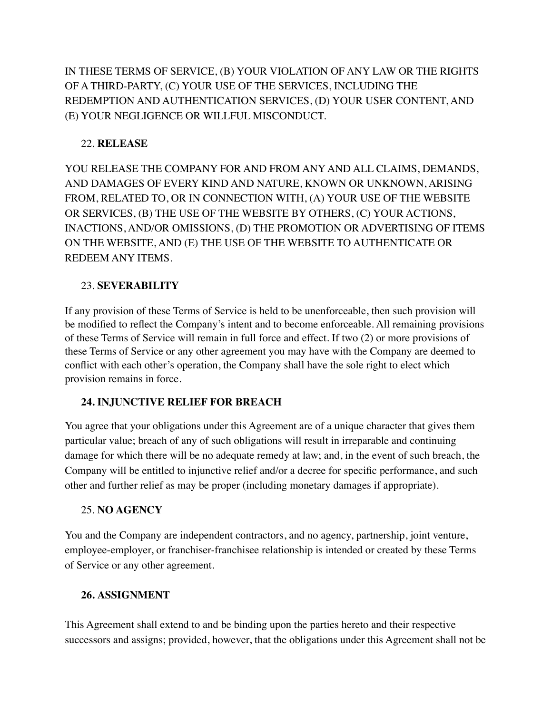IN THESE TERMS OF SERVICE, (B) YOUR VIOLATION OF ANY LAW OR THE RIGHTS OF A THIRD-PARTY, (C) YOUR USE OF THE SERVICES, INCLUDING THE REDEMPTION AND AUTHENTICATION SERVICES, (D) YOUR USER CONTENT, AND (E) YOUR NEGLIGENCE OR WILLFUL MISCONDUCT.

# 22. **RELEASE**

YOU RELEASE THE COMPANY FOR AND FROM ANY AND ALL CLAIMS, DEMANDS, AND DAMAGES OF EVERY KIND AND NATURE, KNOWN OR UNKNOWN, ARISING FROM, RELATED TO, OR IN CONNECTION WITH, (A) YOUR USE OF THE WEBSITE OR SERVICES, (B) THE USE OF THE WEBSITE BY OTHERS, (C) YOUR ACTIONS, INACTIONS, AND/OR OMISSIONS, (D) THE PROMOTION OR ADVERTISING OF ITEMS ON THE WEBSITE, AND (E) THE USE OF THE WEBSITE TO AUTHENTICATE OR REDEEM ANY ITEMS.

# 23. **SEVERABILITY**

If any provision of these Terms of Service is held to be unenforceable, then such provision will be modified to reflect the Company's intent and to become enforceable. All remaining provisions of these Terms of Service will remain in full force and effect. If two (2) or more provisions of these Terms of Service or any other agreement you may have with the Company are deemed to conflict with each other's operation, the Company shall have the sole right to elect which provision remains in force.

# **24. INJUNCTIVE RELIEF FOR BREACH**

You agree that your obligations under this Agreement are of a unique character that gives them particular value; breach of any of such obligations will result in irreparable and continuing damage for which there will be no adequate remedy at law; and, in the event of such breach, the Company will be entitled to injunctive relief and/or a decree for specific performance, and such other and further relief as may be proper (including monetary damages if appropriate).

# 25. **NO AGENCY**

You and the Company are independent contractors, and no agency, partnership, joint venture, employee-employer, or franchiser-franchisee relationship is intended or created by these Terms of Service or any other agreement.

# **26. ASSIGNMENT**

This Agreement shall extend to and be binding upon the parties hereto and their respective successors and assigns; provided, however, that the obligations under this Agreement shall not be